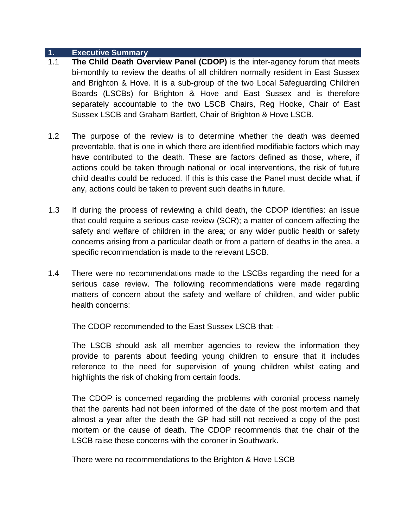#### **1. Executive Summary**

- 1.1 **The Child Death Overview Panel (CDOP)** is the inter-agency forum that meets bi-monthly to review the deaths of all children normally resident in East Sussex and Brighton & Hove. It is a sub-group of the two Local Safeguarding Children Boards (LSCBs) for Brighton & Hove and East Sussex and is therefore separately accountable to the two LSCB Chairs, Reg Hooke, Chair of East Sussex LSCB and Graham Bartlett, Chair of Brighton & Hove LSCB.
- 1.2 The purpose of the review is to determine whether the death was deemed preventable, that is one in which there are identified modifiable factors which may have contributed to the death. These are factors defined as those, where, if actions could be taken through national or local interventions, the risk of future child deaths could be reduced. If this is this case the Panel must decide what, if any, actions could be taken to prevent such deaths in future.
- 1.3 If during the process of reviewing a child death, the CDOP identifies: an issue that could require a serious case review (SCR); a matter of concern affecting the safety and welfare of children in the area; or any wider public health or safety concerns arising from a particular death or from a pattern of deaths in the area, a specific recommendation is made to the relevant LSCB.
- 1.4 There were no recommendations made to the LSCBs regarding the need for a serious case review. The following recommendations were made regarding matters of concern about the safety and welfare of children, and wider public health concerns:

The CDOP recommended to the East Sussex LSCB that: -

The LSCB should ask all member agencies to review the information they provide to parents about feeding young children to ensure that it includes reference to the need for supervision of young children whilst eating and highlights the risk of choking from certain foods.

The CDOP is concerned regarding the problems with coronial process namely that the parents had not been informed of the date of the post mortem and that almost a year after the death the GP had still not received a copy of the post mortem or the cause of death. The CDOP recommends that the chair of the LSCB raise these concerns with the coroner in Southwark.

There were no recommendations to the Brighton & Hove LSCB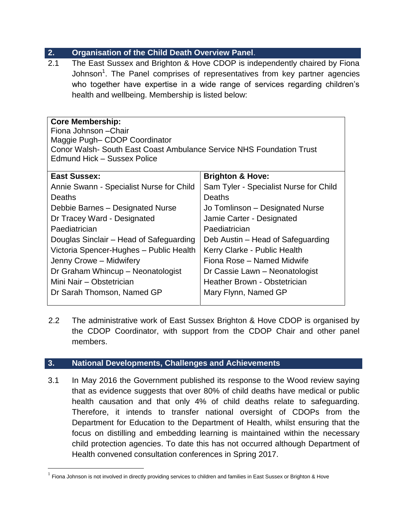## **2. Organisation of the Child Death Overview Panel**.

2.1 The East Sussex and Brighton & Hove CDOP is independently chaired by Fiona Johnson<sup>1</sup>. The Panel comprises of representatives from key partner agencies who together have expertise in a wide range of services regarding children's health and wellbeing. Membership is listed below:

| <b>Core Membership:</b><br>Fiona Johnson - Chair                     |                                        |  |  |  |  |  |  |  |
|----------------------------------------------------------------------|----------------------------------------|--|--|--|--|--|--|--|
| Maggie Pugh-CDOP Coordinator                                         |                                        |  |  |  |  |  |  |  |
| Conor Walsh- South East Coast Ambulance Service NHS Foundation Trust |                                        |  |  |  |  |  |  |  |
| Edmund Hick - Sussex Police                                          |                                        |  |  |  |  |  |  |  |
| <b>East Sussex:</b>                                                  | <b>Brighton &amp; Hove:</b>            |  |  |  |  |  |  |  |
| Annie Swann - Specialist Nurse for Child                             | Sam Tyler - Specialist Nurse for Child |  |  |  |  |  |  |  |
| Deaths                                                               | Deaths                                 |  |  |  |  |  |  |  |
| Debbie Barnes - Designated Nurse                                     | Jo Tomlinson – Designated Nurse        |  |  |  |  |  |  |  |
| Dr Tracey Ward - Designated                                          | Jamie Carter - Designated              |  |  |  |  |  |  |  |
| Paediatrician                                                        | Paediatrician                          |  |  |  |  |  |  |  |
| Douglas Sinclair – Head of Safeguarding                              | Deb Austin – Head of Safeguarding      |  |  |  |  |  |  |  |
| Victoria Spencer-Hughes - Public Health                              | Kerry Clarke - Public Health           |  |  |  |  |  |  |  |
| Jenny Crowe - Midwifery                                              | Fiona Rose - Named Midwife             |  |  |  |  |  |  |  |
| Dr Graham Whincup - Neonatologist                                    | Dr Cassie Lawn - Neonatologist         |  |  |  |  |  |  |  |
| Mini Nair - Obstetrician                                             | Heather Brown - Obstetrician           |  |  |  |  |  |  |  |
| Dr Sarah Thomson, Named GP                                           | Mary Flynn, Named GP                   |  |  |  |  |  |  |  |
|                                                                      |                                        |  |  |  |  |  |  |  |

2.2 The administrative work of East Sussex Brighton & Hove CDOP is organised by the CDOP Coordinator, with support from the CDOP Chair and other panel members.

### **3. National Developments, Challenges and Achievements**

3.1 In May 2016 the Government published its response to the Wood review saying that as evidence suggests that over 80% of child deaths have medical or public health causation and that only 4% of child deaths relate to safeguarding. Therefore, it intends to transfer national oversight of CDOPs from the Department for Education to the Department of Health, whilst ensuring that the focus on distilling and embedding learning is maintained within the necessary child protection agencies. To date this has not occurred although Department of Health convened consultation conferences in Spring 2017.

 $^1$  Fiona Johnson is not involved in directly providing services to children and families in East Sussex or Brighton & Hove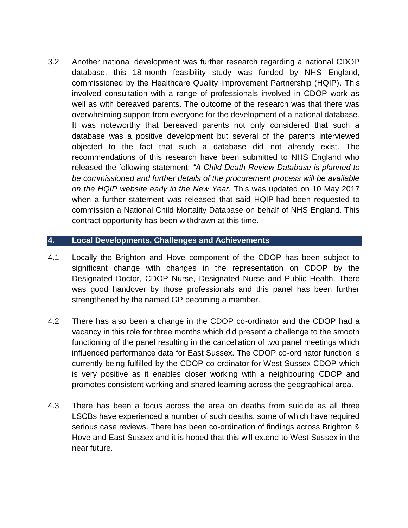3.2 Another national development was further research regarding a national CDOP database, this 18-month feasibility study was funded by NHS England, commissioned by the Healthcare Quality Improvement Partnership (HQIP). This involved consultation with a range of professionals involved in CDOP work as well as with bereaved parents. The outcome of the research was that there was overwhelming support from everyone for the development of a national database. It was noteworthy that bereaved parents not only considered that such a database was a positive development but several of the parents interviewed objected to the fact that such a database did not already exist. The recommendations of this research have been submitted to NHS England who released the following statement: *"A Child Death Review Database is planned to be commissioned and further details of the procurement process will be available on the HQIP website early in the New Year.* This was updated on 10 May 2017 when a further statement was released that said HQIP had been requested to commission a National Child Mortality Database on behalf of NHS England. This contract opportunity has been withdrawn at this time.

### **4. Local Developments, Challenges and Achievements**

- 4.1 Locally the Brighton and Hove component of the CDOP has been subject to significant change with changes in the representation on CDOP by the Designated Doctor, CDOP Nurse, Designated Nurse and Public Health. There was good handover by those professionals and this panel has been further strengthened by the named GP becoming a member.
- 4.2 There has also been a change in the CDOP co-ordinator and the CDOP had a vacancy in this role for three months which did present a challenge to the smooth functioning of the panel resulting in the cancellation of two panel meetings which influenced performance data for East Sussex. The CDOP co-ordinator function is currently being fulfilled by the CDOP co-ordinator for West Sussex CDOP which is very positive as it enables closer working with a neighbouring CDOP and promotes consistent working and shared learning across the geographical area.
- 4.3 There has been a focus across the area on deaths from suicide as all three LSCBs have experienced a number of such deaths, some of which have required serious case reviews. There has been co-ordination of findings across Brighton & Hove and East Sussex and it is hoped that this will extend to West Sussex in the near future.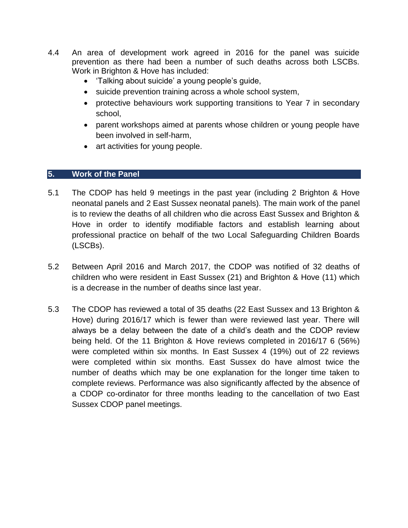- 4.4 An area of development work agreed in 2016 for the panel was suicide prevention as there had been a number of such deaths across both LSCBs. Work in Brighton & Hove has included:
	- 'Talking about suicide' a young people's guide,
	- suicide prevention training across a whole school system,
	- protective behaviours work supporting transitions to Year 7 in secondary school,
	- parent workshops aimed at parents whose children or young people have been involved in self-harm,
	- art activities for young people.

## **5. Work of the Panel**

- 5.1 The CDOP has held 9 meetings in the past year (including 2 Brighton & Hove neonatal panels and 2 East Sussex neonatal panels). The main work of the panel is to review the deaths of all children who die across East Sussex and Brighton & Hove in order to identify modifiable factors and establish learning about professional practice on behalf of the two Local Safeguarding Children Boards (LSCBs).
- 5.2 Between April 2016 and March 2017, the CDOP was notified of 32 deaths of children who were resident in East Sussex (21) and Brighton & Hove (11) which is a decrease in the number of deaths since last year.
- 5.3 The CDOP has reviewed a total of 35 deaths (22 East Sussex and 13 Brighton & Hove) during 2016/17 which is fewer than were reviewed last year. There will always be a delay between the date of a child's death and the CDOP review being held. Of the 11 Brighton & Hove reviews completed in 2016/17 6 (56%) were completed within six months. In East Sussex 4 (19%) out of 22 reviews were completed within six months. East Sussex do have almost twice the number of deaths which may be one explanation for the longer time taken to complete reviews. Performance was also significantly affected by the absence of a CDOP co-ordinator for three months leading to the cancellation of two East Sussex CDOP panel meetings.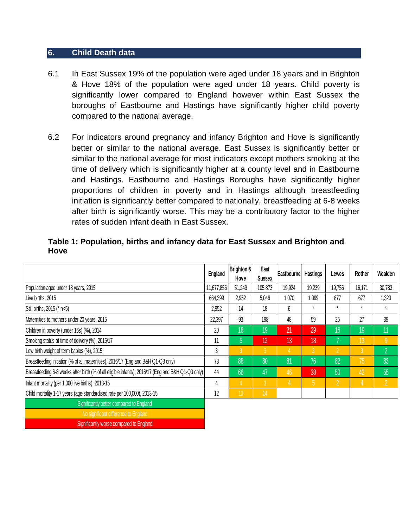#### **6. Child Death data**

- 6.1 In East Sussex 19% of the population were aged under 18 years and in Brighton & Hove 18% of the population were aged under 18 years. Child poverty is significantly lower compared to England however within East Sussex the boroughs of Eastbourne and Hastings have significantly higher child poverty compared to the national average.
- 6.2 For indicators around pregnancy and infancy Brighton and Hove is significantly better or similar to the national average. East Sussex is significantly better or similar to the national average for most indicators except mothers smoking at the time of delivery which is significantly higher at a county level and in Eastbourne and Hastings. Eastbourne and Hastings Boroughs have significantly higher proportions of children in poverty and in Hastings although breastfeeding initiation is significantly better compared to nationally, breastfeeding at 6-8 weeks after birth is significantly worse. This may be a contributory factor to the higher rates of sudden infant death in East Sussex.

|                                                                                                   | England    | <b>Brighton &amp;</b><br>Hove | East<br><b>Sussex</b> | Eastbourne | <b>Hastings</b> | Lewes          | Rother         | Wealden        |
|---------------------------------------------------------------------------------------------------|------------|-------------------------------|-----------------------|------------|-----------------|----------------|----------------|----------------|
| Population aged under 18 years, 2015                                                              | 11,677,856 | 51,249                        | 105,873               | 19,924     | 19,239          | 19,756         | 16,171         | 30,783         |
| Live births, 2015                                                                                 | 664,399    | 2,952                         | 5,046                 | 1,070      | 1,099           | 877            | 677            | 1,323          |
| Still births, 2015 (* n<5)                                                                        | 2,952      | 14                            | 18                    | 6          | $\star$         | $\star$        | $\star$        | $\star$        |
| Maternities to mothers under 20 years, 2015                                                       | 22,397     | 93                            | 198                   | 48         | 59              | 25             | 27             | 39             |
| Children in poverty (under 16s) (%), 2014                                                         | 20         | 18                            | 19                    | 21         | 29              | 16             | 19             | 11             |
| Smoking status at time of delivery (%), 2016/17                                                   | 11         | $\overline{5}$                | 12                    | 13         | 18              | 7              | 13             | 9              |
| Low birth weight of term babies (%), 2015                                                         | 3          | 3                             | 3                     | 4          | $\overline{3}$  | $\overline{2}$ | $\mathbf{3}$   | $\overline{2}$ |
| Breastfeeding initiation (% of all maternities), 2016/17 (Eng and B&H Q1-Q3 only)                 | 73         | 88                            | 80                    | 81         | 76              | 82             | 75             | 83             |
| Breastfeeding 6-8 weeks after birth (% of all eligible infants), 2016/17 (Eng and B&H Q1-Q3 only) | 44         | 66                            | 47                    | 46         | 38              | 50             | 42             | 55             |
| Infant mortality (per 1,000 live births), 2013-15                                                 | 4          | $\overline{4}$                | 3                     | (4)        | $\sqrt{5}$      | $\overline{2}$ | $\overline{4}$ | $\overline{2}$ |
| Child mortality 1-17 years (age-standardised rate per 100,000), 2013-15                           | 12         | 10                            | 14                    |            |                 |                |                |                |
| Significantly better compared to England                                                          |            |                               |                       |            |                 |                |                |                |
| No significant difference to England                                                              |            |                               |                       |            |                 |                |                |                |
| Significantly worse compared to England                                                           |            |                               |                       |            |                 |                |                |                |

### **Table 1: Population, births and infancy data for East Sussex and Brighton and Hove**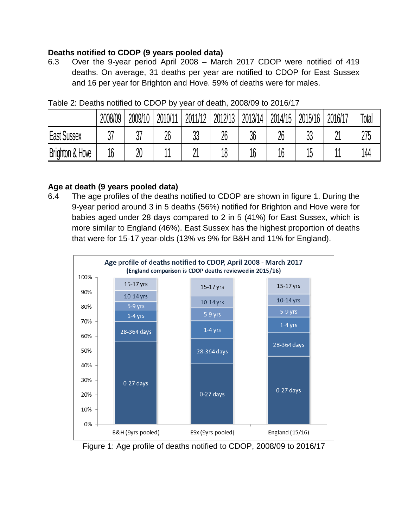# **Deaths notified to CDOP (9 years pooled data)**

6.3 Over the 9-year period April 2008 – March 2017 CDOP were notified of 419 deaths. On average, 31 deaths per year are notified to CDOP for East Sussex and 16 per year for Brighton and Hove. 59% of deaths were for males.

|                            | 2008/09 | 2009/10  | 2010/11 | 2011/12  | 2012/13 | 2013/14 | 2014/15 | 2015/16  | 2016/17 | Total      |
|----------------------------|---------|----------|---------|----------|---------|---------|---------|----------|---------|------------|
| <b>East Sussex</b>         | νı      | ^7<br>νı | 26      | ηη<br>υu | 26      | 36      | 26      | nr<br>vv | Ωı<br>- | 775<br>4 U |
| <b>Brighton &amp; Hove</b> | 16      | 20       |         | n۱       | 18      | 16      | 16      | ιv       |         | 144        |

Table 2: Deaths notified to CDOP by year of death, 2008/09 to 2016/17

## **Age at death (9 years pooled data)**

6.4 The age profiles of the deaths notified to CDOP are shown in figure 1. During the 9-year period around 3 in 5 deaths (56%) notified for Brighton and Hove were for babies aged under 28 days compared to 2 in 5 (41%) for East Sussex, which is more similar to England (46%). East Sussex has the highest proportion of deaths that were for 15-17 year-olds (13% vs 9% for B&H and 11% for England).



Figure 1: Age profile of deaths notified to CDOP, 2008/09 to 2016/17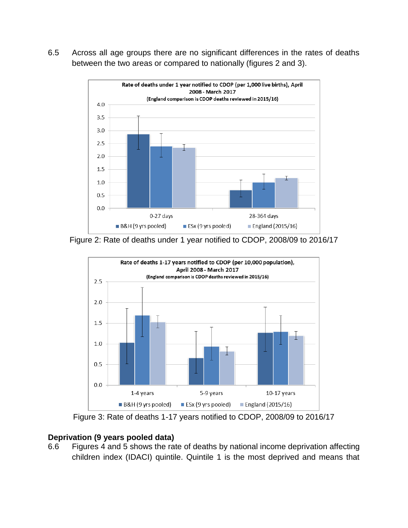6.5 Across all age groups there are no significant differences in the rates of deaths between the two areas or compared to nationally (figures 2 and 3).



Figure 2: Rate of deaths under 1 year notified to CDOP, 2008/09 to 2016/17



Figure 3: Rate of deaths 1-17 years notified to CDOP, 2008/09 to 2016/17

# **Deprivation (9 years pooled data)**

6.6 Figures 4 and 5 shows the rate of deaths by national income deprivation affecting children index (IDACI) quintile. Quintile 1 is the most deprived and means that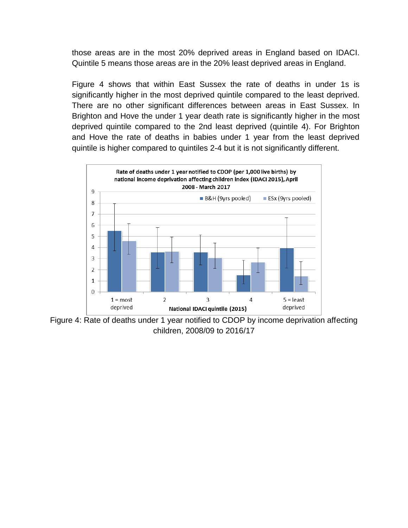those areas are in the most 20% deprived areas in England based on IDACI. Quintile 5 means those areas are in the 20% least deprived areas in England.

Figure 4 shows that within East Sussex the rate of deaths in under 1s is significantly higher in the most deprived quintile compared to the least deprived. There are no other significant differences between areas in East Sussex. In Brighton and Hove the under 1 year death rate is significantly higher in the most deprived quintile compared to the 2nd least deprived (quintile 4). For Brighton and Hove the rate of deaths in babies under 1 year from the least deprived quintile is higher compared to quintiles 2-4 but it is not significantly different.



Figure 4: Rate of deaths under 1 year notified to CDOP by income deprivation affecting children, 2008/09 to 2016/17